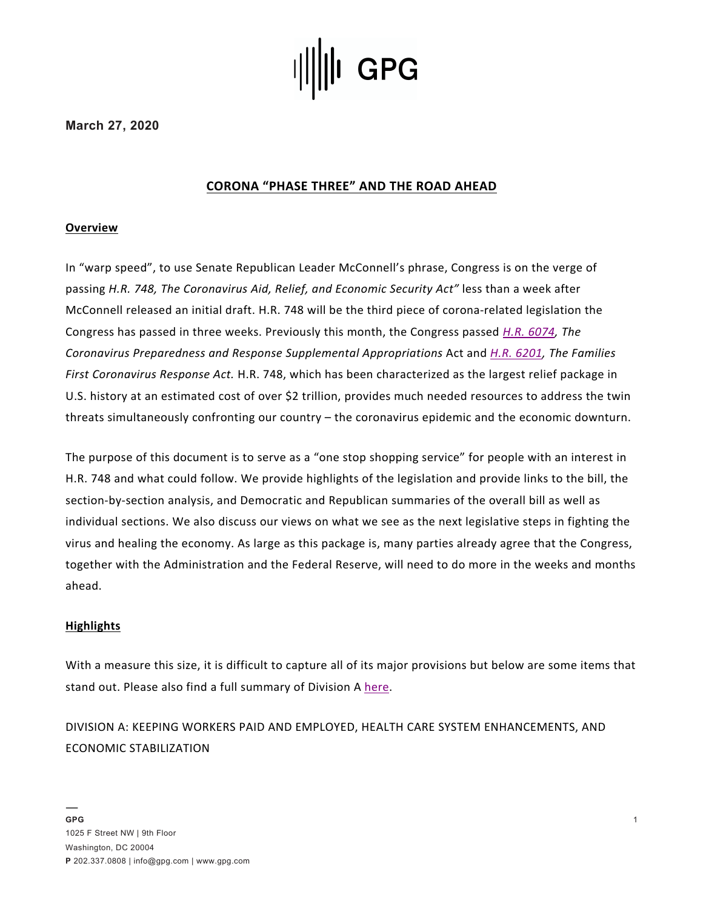

**March 27, 2020**

# **CORONA "PHASE THREE" AND THE ROAD AHEAD**

### **Overview**

In "warp speed", to use Senate Republican Leader McConnell's phrase, Congress is on the verge of passing *H.R. 748, The Coronavirus Aid, Relief, and Economic Security Act"* less than a week after McConnell released an initial draft. H.R. 748 will be the third piece of corona-related legislation the Congress has passed in three weeks. Previously this month, the Congress passed *H.R. 6074, The Coronavirus Preparedness and Response Supplemental Appropriations* Act and *H.R. 6201, The Families First Coronavirus Response Act.* H.R. 748, which has been characterized as the largest relief package in U.S. history at an estimated cost of over \$2 trillion, provides much needed resources to address the twin threats simultaneously confronting our country – the coronavirus epidemic and the economic downturn.

The purpose of this document is to serve as a "one stop shopping service" for people with an interest in H.R. 748 and what could follow. We provide highlights of the legislation and provide links to the bill, the section-by-section analysis, and Democratic and Republican summaries of the overall bill as well as individual sections. We also discuss our views on what we see as the next legislative steps in fighting the virus and healing the economy. As large as this package is, many parties already agree that the Congress, together with the Administration and the Federal Reserve, will need to do more in the weeks and months ahead.

### **Highlights**

With a measure this size, it is difficult to capture all of its major provisions but below are some items that stand out. Please also find a full summary of Division A here.

DIVISION A: KEEPING WORKERS PAID AND EMPLOYED, HEALTH CARE SYSTEM ENHANCEMENTS, AND ECONOMIC STABILIZATION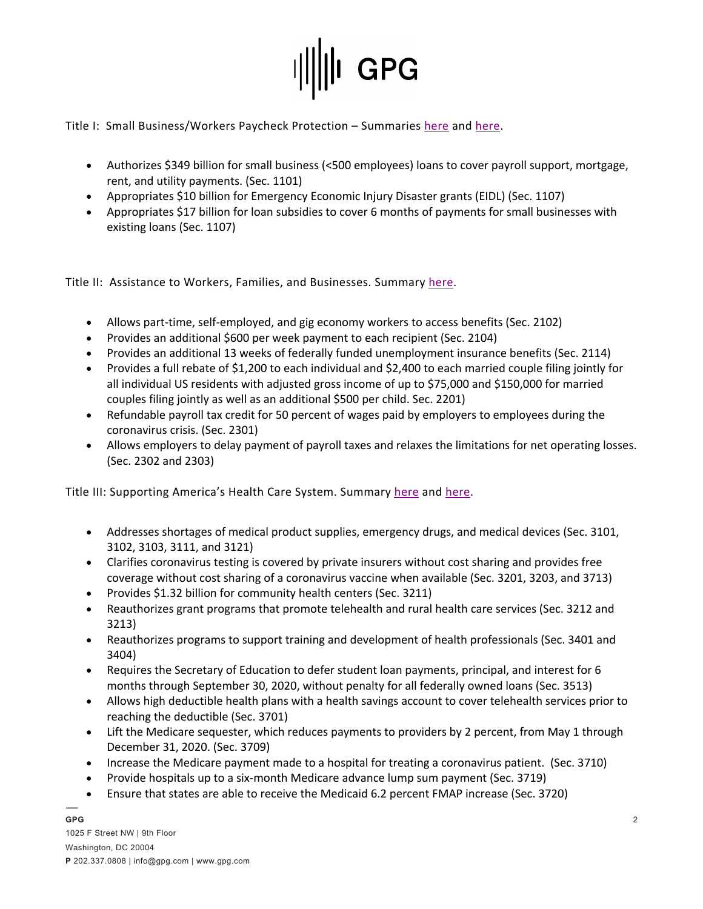

Title I: Small Business/Workers Paycheck Protection - Summaries here and here.

- Authorizes \$349 billion for small business (<500 employees) loans to cover payroll support, mortgage, rent, and utility payments. (Sec. 1101)
- Appropriates \$10 billion for Emergency Economic Injury Disaster grants (EIDL) (Sec. 1107)
- Appropriates \$17 billion for loan subsidies to cover 6 months of payments for small businesses with existing loans (Sec. 1107)

Title II: Assistance to Workers, Families, and Businesses. Summary here.

- Allows part-time, self-employed, and gig economy workers to access benefits (Sec. 2102)
- Provides an additional \$600 per week payment to each recipient (Sec. 2104)
- Provides an additional 13 weeks of federally funded unemployment insurance benefits (Sec. 2114)
- Provides a full rebate of \$1,200 to each individual and \$2,400 to each married couple filing jointly for all individual US residents with adjusted gross income of up to \$75,000 and \$150,000 for married couples filing jointly as well as an additional \$500 per child. Sec. 2201)
- Refundable payroll tax credit for 50 percent of wages paid by employers to employees during the coronavirus crisis. (Sec. 2301)
- Allows employers to delay payment of payroll taxes and relaxes the limitations for net operating losses. (Sec. 2302 and 2303)

Title III: Supporting America's Health Care System. Summary here and here.

- Addresses shortages of medical product supplies, emergency drugs, and medical devices (Sec. 3101, 3102, 3103, 3111, and 3121)
- Clarifies coronavirus testing is covered by private insurers without cost sharing and provides free coverage without cost sharing of a coronavirus vaccine when available (Sec. 3201, 3203, and 3713)
- Provides \$1.32 billion for community health centers (Sec. 3211)
- Reauthorizes grant programs that promote telehealth and rural health care services (Sec. 3212 and 3213)
- Reauthorizes programs to support training and development of health professionals (Sec. 3401 and 3404)
- Requires the Secretary of Education to defer student loan payments, principal, and interest for 6 months through September 30, 2020, without penalty for all federally owned loans (Sec. 3513)
- Allows high deductible health plans with a health savings account to cover telehealth services prior to reaching the deductible (Sec. 3701)
- Lift the Medicare sequester, which reduces payments to providers by 2 percent, from May 1 through December 31, 2020. (Sec. 3709)
- Increase the Medicare payment made to a hospital for treating a coronavirus patient. (Sec. 3710)
- Provide hospitals up to a six-month Medicare advance lump sum payment (Sec. 3719)
- Ensure that states are able to receive the Medicaid 6.2 percent FMAP increase (Sec. 3720)

**GPG**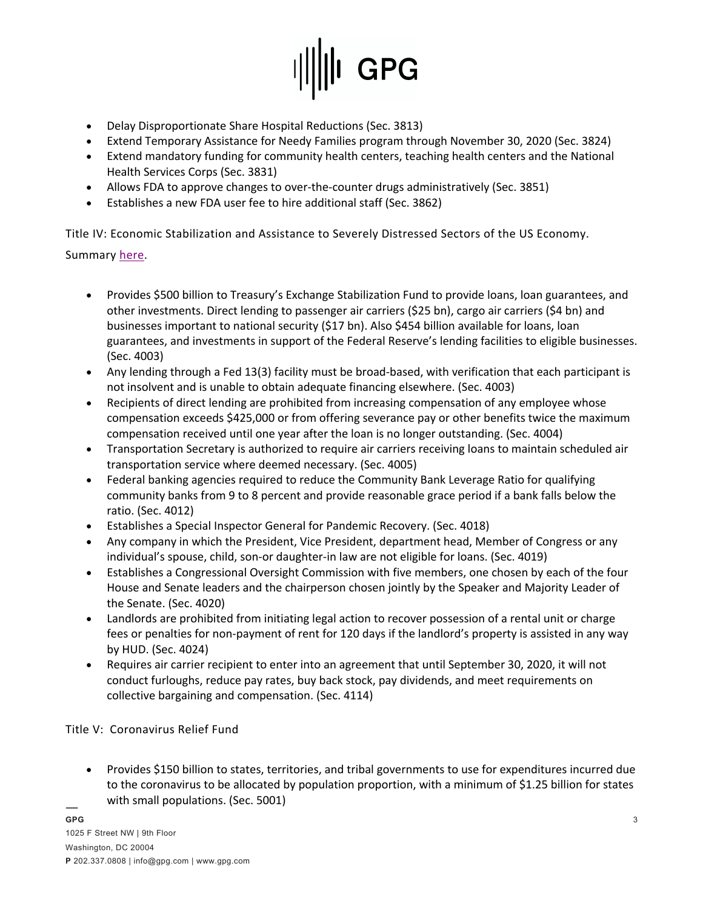

- Delay Disproportionate Share Hospital Reductions (Sec. 3813)
- Extend Temporary Assistance for Needy Families program through November 30, 2020 (Sec. 3824)
- Extend mandatory funding for community health centers, teaching health centers and the National Health Services Corps (Sec. 3831)
- Allows FDA to approve changes to over-the-counter drugs administratively (Sec. 3851)
- Establishes a new FDA user fee to hire additional staff (Sec. 3862)

Title IV: Economic Stabilization and Assistance to Severely Distressed Sectors of the US Economy.

Summary here.

- Provides \$500 billion to Treasury's Exchange Stabilization Fund to provide loans, loan guarantees, and other investments. Direct lending to passenger air carriers (\$25 bn), cargo air carriers (\$4 bn) and businesses important to national security (\$17 bn). Also \$454 billion available for loans, loan guarantees, and investments in support of the Federal Reserve's lending facilities to eligible businesses. (Sec. 4003)
- Any lending through a Fed 13(3) facility must be broad-based, with verification that each participant is not insolvent and is unable to obtain adequate financing elsewhere. (Sec. 4003)
- Recipients of direct lending are prohibited from increasing compensation of any employee whose compensation exceeds \$425,000 or from offering severance pay or other benefits twice the maximum compensation received until one year after the loan is no longer outstanding. (Sec. 4004)
- Transportation Secretary is authorized to require air carriers receiving loans to maintain scheduled air transportation service where deemed necessary. (Sec. 4005)
- Federal banking agencies required to reduce the Community Bank Leverage Ratio for qualifying community banks from 9 to 8 percent and provide reasonable grace period if a bank falls below the ratio. (Sec. 4012)
- Establishes a Special Inspector General for Pandemic Recovery. (Sec. 4018)
- Any company in which the President, Vice President, department head, Member of Congress or any individual's spouse, child, son-or daughter-in law are not eligible for loans. (Sec. 4019)
- Establishes a Congressional Oversight Commission with five members, one chosen by each of the four House and Senate leaders and the chairperson chosen jointly by the Speaker and Majority Leader of the Senate. (Sec. 4020)
- Landlords are prohibited from initiating legal action to recover possession of a rental unit or charge fees or penalties for non-payment of rent for 120 days if the landlord's property is assisted in any way by HUD. (Sec. 4024)
- Requires air carrier recipient to enter into an agreement that until September 30, 2020, it will not conduct furloughs, reduce pay rates, buy back stock, pay dividends, and meet requirements on collective bargaining and compensation. (Sec. 4114)

Title V: Coronavirus Relief Fund

• Provides \$150 billion to states, territories, and tribal governments to use for expenditures incurred due to the coronavirus to be allocated by population proportion, with a minimum of \$1.25 billion for states with small populations. (Sec. 5001)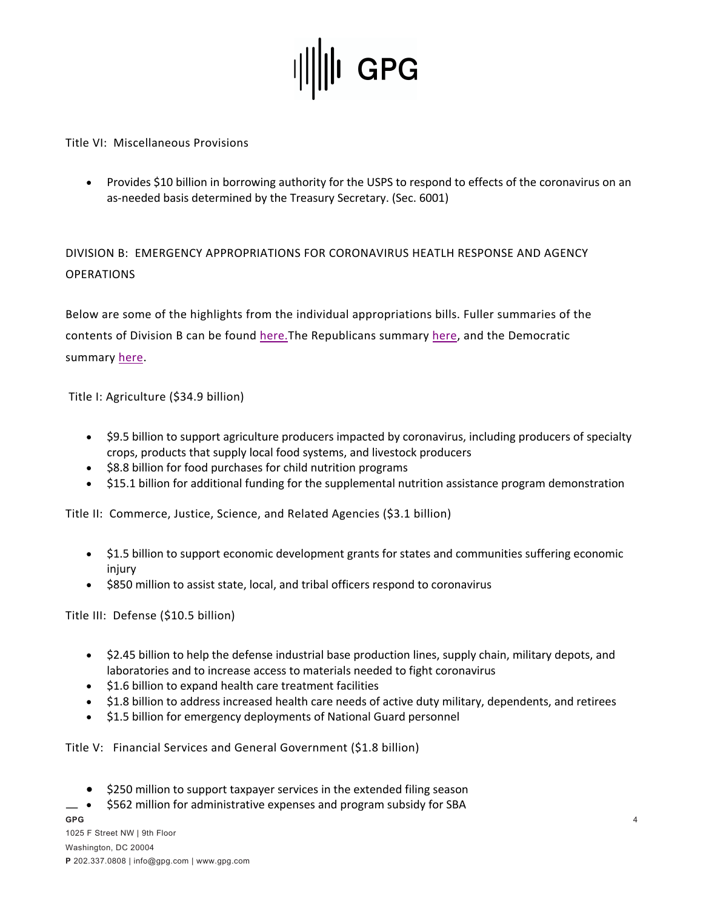

### Title VI: Miscellaneous Provisions

• Provides \$10 billion in borrowing authority for the USPS to respond to effects of the coronavirus on an as-needed basis determined by the Treasury Secretary. (Sec. 6001)

DIVISION B: EMERGENCY APPROPRIATIONS FOR CORONAVIRUS HEATLH RESPONSE AND AGENCY OPERATIONS

Below are some of the highlights from the individual appropriations bills. Fuller summaries of the contents of Division B can be found here.The Republicans summary here, and the Democratic summary here.

Title I: Agriculture (\$34.9 billion)

- \$9.5 billion to support agriculture producers impacted by coronavirus, including producers of specialty crops, products that supply local food systems, and livestock producers
- \$8.8 billion for food purchases for child nutrition programs
- \$15.1 billion for additional funding for the supplemental nutrition assistance program demonstration

Title II: Commerce, Justice, Science, and Related Agencies (\$3.1 billion)

- \$1.5 billion to support economic development grants for states and communities suffering economic injury
- \$850 million to assist state, local, and tribal officers respond to coronavirus

Title III: Defense (\$10.5 billion)

- \$2.45 billion to help the defense industrial base production lines, supply chain, military depots, and laboratories and to increase access to materials needed to fight coronavirus
- \$1.6 billion to expand health care treatment facilities
- \$1.8 billion to address increased health care needs of active duty military, dependents, and retirees
- \$1.5 billion for emergency deployments of National Guard personnel

Title V: Financial Services and General Government (\$1.8 billion)

- \$250 million to support taxpayer services in the extended filing season
- \$562 million for administrative expenses and program subsidy for SBA

**GPG**  1025 F Street NW | 9th Floor Washington, DC 20004 **P** 202.337.0808 | info@gpg.com | www.gpg.com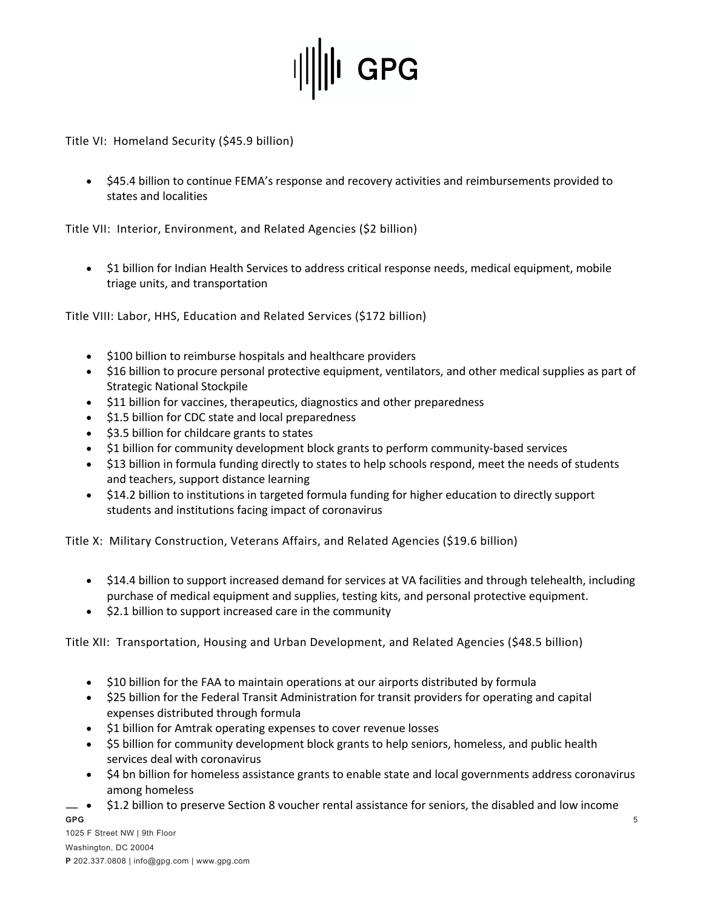

Title VI: Homeland Security (\$45.9 billion)

• \$45.4 billion to continue FEMA's response and recovery activities and reimbursements provided to states and localities

Title VII: Interior, Environment, and Related Agencies (\$2 billion)

• \$1 billion for Indian Health Services to address critical response needs, medical equipment, mobile triage units, and transportation

Title VIII: Labor, HHS, Education and Related Services (\$172 billion)

- \$100 billion to reimburse hospitals and healthcare providers
- \$16 billion to procure personal protective equipment, ventilators, and other medical supplies as part of Strategic National Stockpile
- \$11 billion for vaccines, therapeutics, diagnostics and other preparedness
- \$1.5 billion for CDC state and local preparedness
- \$3.5 billion for childcare grants to states
- \$1 billion for community development block grants to perform community-based services
- \$13 billion in formula funding directly to states to help schools respond, meet the needs of students and teachers, support distance learning
- \$14.2 billion to institutions in targeted formula funding for higher education to directly support students and institutions facing impact of coronavirus

Title X: Military Construction, Veterans Affairs, and Related Agencies (\$19.6 billion)

- \$14.4 billion to support increased demand for services at VA facilities and through telehealth, including purchase of medical equipment and supplies, testing kits, and personal protective equipment.
- \$2.1 billion to support increased care in the community

Title XII: Transportation, Housing and Urban Development, and Related Agencies (\$48.5 billion)

- \$10 billion for the FAA to maintain operations at our airports distributed by formula
- \$25 billion for the Federal Transit Administration for transit providers for operating and capital expenses distributed through formula
- \$1 billion for Amtrak operating expenses to cover revenue losses
- \$5 billion for community development block grants to help seniors, homeless, and public health services deal with coronavirus
- \$4 bn billion for homeless assistance grants to enable state and local governments address coronavirus among homeless
- **GPG**  • \$1.2 billion to preserve Section 8 voucher rental assistance for seniors, the disabled and low income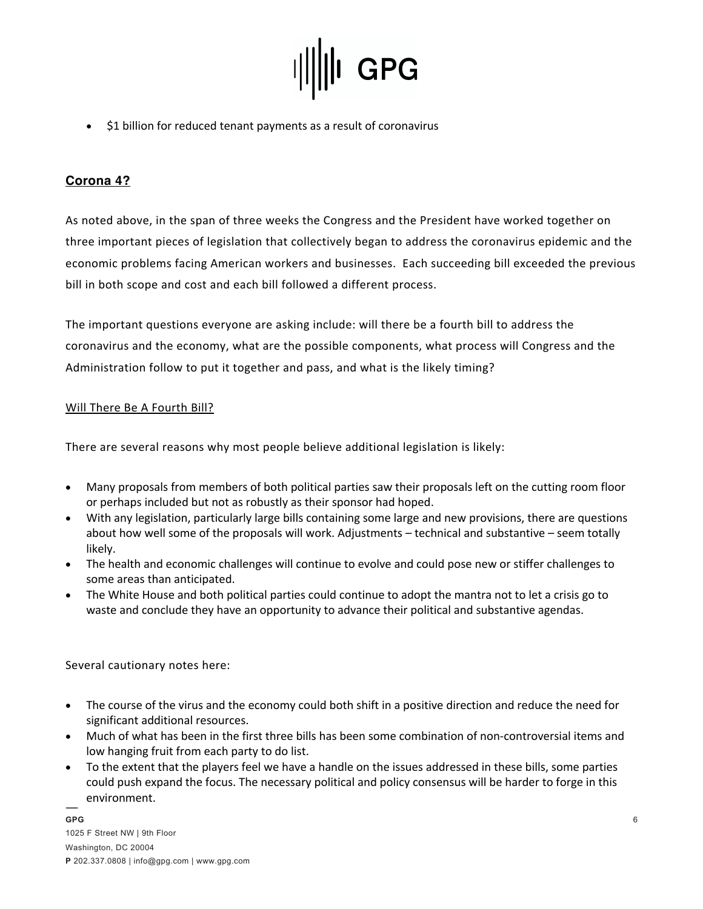

• \$1 billion for reduced tenant payments as a result of coronavirus

## **Corona 4?**

As noted above, in the span of three weeks the Congress and the President have worked together on three important pieces of legislation that collectively began to address the coronavirus epidemic and the economic problems facing American workers and businesses. Each succeeding bill exceeded the previous bill in both scope and cost and each bill followed a different process.

The important questions everyone are asking include: will there be a fourth bill to address the coronavirus and the economy, what are the possible components, what process will Congress and the Administration follow to put it together and pass, and what is the likely timing?

### Will There Be A Fourth Bill?

There are several reasons why most people believe additional legislation is likely:

- Many proposals from members of both political parties saw their proposals left on the cutting room floor or perhaps included but not as robustly as their sponsor had hoped.
- With any legislation, particularly large bills containing some large and new provisions, there are questions about how well some of the proposals will work. Adjustments – technical and substantive – seem totally likely.
- The health and economic challenges will continue to evolve and could pose new or stiffer challenges to some areas than anticipated.
- The White House and both political parties could continue to adopt the mantra not to let a crisis go to waste and conclude they have an opportunity to advance their political and substantive agendas.

Several cautionary notes here:

- The course of the virus and the economy could both shift in a positive direction and reduce the need for significant additional resources.
- Much of what has been in the first three bills has been some combination of non-controversial items and low hanging fruit from each party to do list.
- To the extent that the players feel we have a handle on the issues addressed in these bills, some parties could push expand the focus. The necessary political and policy consensus will be harder to forge in this environment.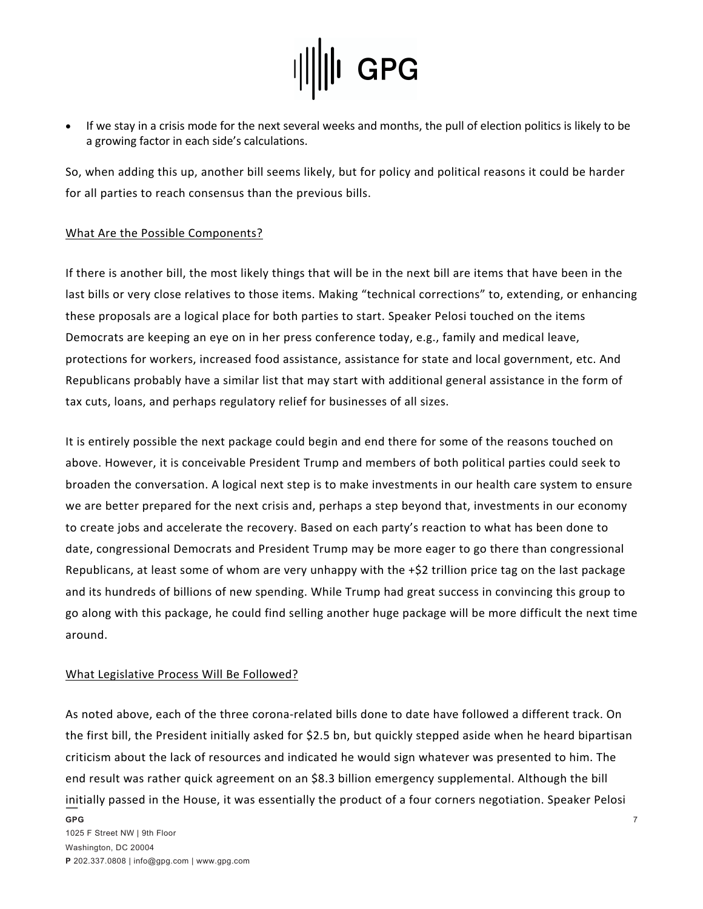

• If we stay in a crisis mode for the next several weeks and months, the pull of election politics is likely to be a growing factor in each side's calculations.

So, when adding this up, another bill seems likely, but for policy and political reasons it could be harder for all parties to reach consensus than the previous bills.

### What Are the Possible Components?

If there is another bill, the most likely things that will be in the next bill are items that have been in the last bills or very close relatives to those items. Making "technical corrections" to, extending, or enhancing these proposals are a logical place for both parties to start. Speaker Pelosi touched on the items Democrats are keeping an eye on in her press conference today, e.g., family and medical leave, protections for workers, increased food assistance, assistance for state and local government, etc. And Republicans probably have a similar list that may start with additional general assistance in the form of tax cuts, loans, and perhaps regulatory relief for businesses of all sizes.

It is entirely possible the next package could begin and end there for some of the reasons touched on above. However, it is conceivable President Trump and members of both political parties could seek to broaden the conversation. A logical next step is to make investments in our health care system to ensure we are better prepared for the next crisis and, perhaps a step beyond that, investments in our economy to create jobs and accelerate the recovery. Based on each party's reaction to what has been done to date, congressional Democrats and President Trump may be more eager to go there than congressional Republicans, at least some of whom are very unhappy with the +\$2 trillion price tag on the last package and its hundreds of billions of new spending. While Trump had great success in convincing this group to go along with this package, he could find selling another huge package will be more difficult the next time around.

### What Legislative Process Will Be Followed?

As noted above, each of the three corona-related bills done to date have followed a different track. On the first bill, the President initially asked for \$2.5 bn, but quickly stepped aside when he heard bipartisan criticism about the lack of resources and indicated he would sign whatever was presented to him. The end result was rather quick agreement on an \$8.3 billion emergency supplemental. Although the bill initially passed in the House, it was essentially the product of a four corners negotiation. Speaker Pelosi